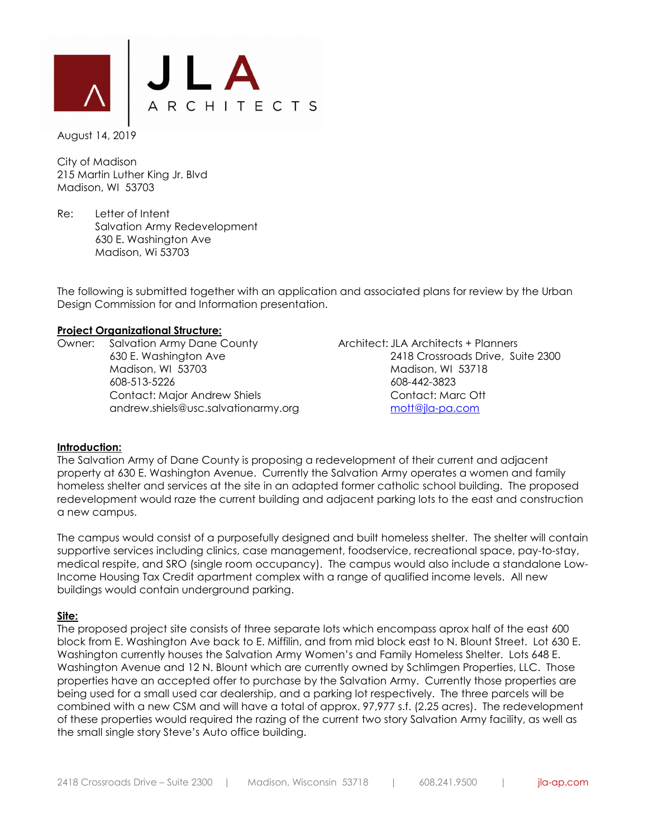

August 14, 2019

City of Madison 215 Martin Luther King Jr. Blvd Madison, WI 53703

Re: Letter of Intent Salvation Army Redevelopment 630 E. Washington Ave Madison, Wi 53703

The following is submitted together with an application and associated plans for review by the Urban Design Commission for and Information presentation.

### **Project Organizational Structure:**

Owner: Salvation Army Dane County **Architect: JLA Architects + Planners**  Madison, WI 53703 Madison, WI 53718 608-513-5226 608-442-3823 Contact: Major Andrew Shiels Contact: Marc Ott andrew.shiels@usc.salvationarmy.org mott@jla-pa.com

630 E. Washington Ave 2418 Crossroads Drive, Suite 2300

### **Introduction:**

The Salvation Army of Dane County is proposing a redevelopment of their current and adjacent property at 630 E. Washington Avenue. Currently the Salvation Army operates a women and family homeless shelter and services at the site in an adapted former catholic school building. The proposed redevelopment would raze the current building and adjacent parking lots to the east and construction a new campus.

The campus would consist of a purposefully designed and built homeless shelter. The shelter will contain supportive services including clinics, case management, foodservice, recreational space, pay-to-stay, medical respite, and SRO (single room occupancy). The campus would also include a standalone Low-Income Housing Tax Credit apartment complex with a range of qualified income levels. All new buildings would contain underground parking.

### **Site:**

The proposed project site consists of three separate lots which encompass aprox half of the east 600 block from E. Washington Ave back to E. Miffilin, and from mid block east to N. Blount Street. Lot 630 E. Washington currently houses the Salvation Army Women's and Family Homeless Shelter. Lots 648 E. Washington Avenue and 12 N. Blount which are currently owned by Schlimgen Properties, LLC. Those properties have an accepted offer to purchase by the Salvation Army. Currently those properties are being used for a small used car dealership, and a parking lot respectively. The three parcels will be combined with a new CSM and will have a total of approx. 97,977 s.f. (2.25 acres). The redevelopment of these properties would required the razing of the current two story Salvation Army facility, as well as the small single story Steve's Auto office building.